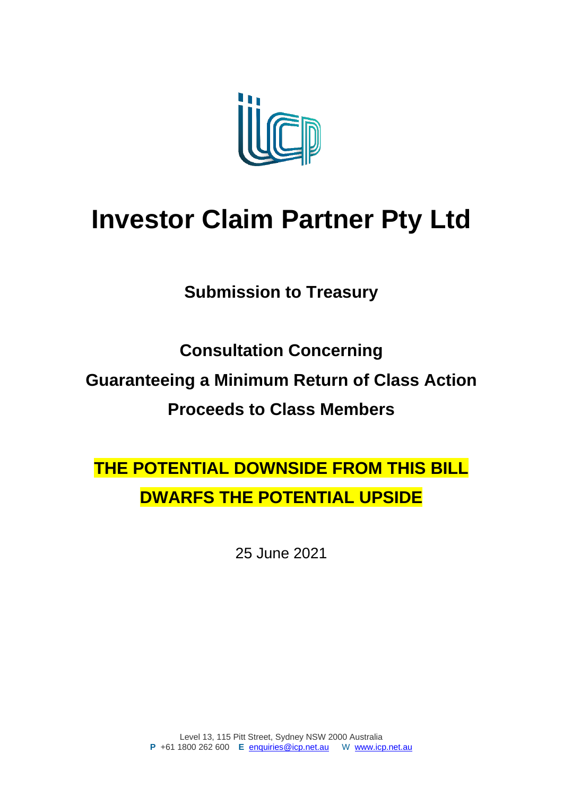

## **Investor Claim Partner Pty Ltd**

**Submission to Treasury**

**Consultation Concerning Guaranteeing a Minimum Return of Class Action Proceeds to Class Members**

**THE POTENTIAL DOWNSIDE FROM THIS BILL DWARFS THE POTENTIAL UPSIDE**

25 June 2021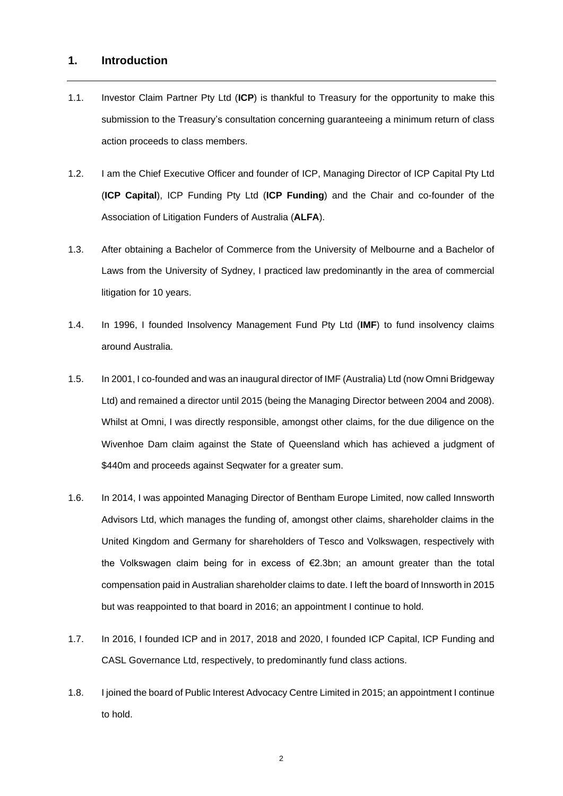## **1. Introduction**

- 1.1. Investor Claim Partner Pty Ltd (**ICP**) is thankful to Treasury for the opportunity to make this submission to the Treasury's consultation concerning guaranteeing a minimum return of class action proceeds to class members.
- 1.2. I am the Chief Executive Officer and founder of ICP, Managing Director of ICP Capital Pty Ltd (**ICP Capital**), ICP Funding Pty Ltd (**ICP Funding**) and the Chair and co-founder of the Association of Litigation Funders of Australia (**ALFA**).
- 1.3. After obtaining a Bachelor of Commerce from the University of Melbourne and a Bachelor of Laws from the University of Sydney, I practiced law predominantly in the area of commercial litigation for 10 years.
- 1.4. In 1996, I founded Insolvency Management Fund Pty Ltd (**IMF**) to fund insolvency claims around Australia.
- 1.5. In 2001, I co-founded and was an inaugural director of IMF (Australia) Ltd (now Omni Bridgeway Ltd) and remained a director until 2015 (being the Managing Director between 2004 and 2008). Whilst at Omni, I was directly responsible, amongst other claims, for the due diligence on the Wivenhoe Dam claim against the State of Queensland which has achieved a judgment of \$440m and proceeds against Seqwater for a greater sum.
- 1.6. In 2014, I was appointed Managing Director of Bentham Europe Limited, now called Innsworth Advisors Ltd, which manages the funding of, amongst other claims, shareholder claims in the United Kingdom and Germany for shareholders of Tesco and Volkswagen, respectively with the Volkswagen claim being for in excess of €2.3bn; an amount greater than the total compensation paid in Australian shareholder claims to date. I left the board of Innsworth in 2015 but was reappointed to that board in 2016; an appointment I continue to hold.
- 1.7. In 2016, I founded ICP and in 2017, 2018 and 2020, I founded ICP Capital, ICP Funding and CASL Governance Ltd, respectively, to predominantly fund class actions.
- 1.8. I joined the board of Public Interest Advocacy Centre Limited in 2015; an appointment I continue to hold.

2